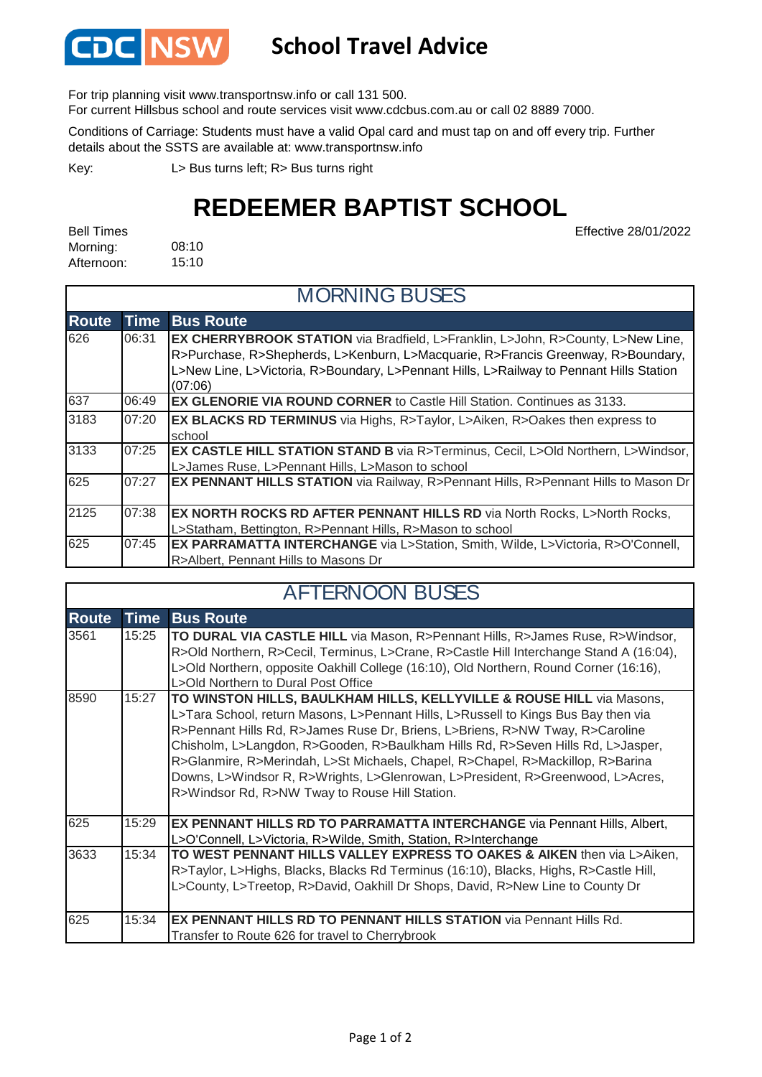

## **School Travel Advice**

For trip planning visit www.transportnsw.info or call 131 500.

For current Hillsbus school and route services visit www.cdcbus.com.au or call 02 8889 7000.

Conditions of Carriage: Students must have a valid Opal card and must tap on and off every trip. Further details about the SSTS are available at: www.transportnsw.info

L> Bus turns left; R> Bus turns right Key:

## **REDEEMER BAPTIST SCHOOL**

Effective 28/01/2022

08:10 15:10 Bell Times Morning: Afternoon:

г

| <b>MORNING BUSES</b> |             |                                                                                                                                                                                                                                                                                  |  |  |  |
|----------------------|-------------|----------------------------------------------------------------------------------------------------------------------------------------------------------------------------------------------------------------------------------------------------------------------------------|--|--|--|
| <b>Route</b>         | <b>Time</b> | <b>Bus Route</b>                                                                                                                                                                                                                                                                 |  |  |  |
| 626                  | 06:31       | <b>EX CHERRYBROOK STATION</b> via Bradfield, L>Franklin, L>John, R>County, L>New Line,<br>R>Purchase, R>Shepherds, L>Kenburn, L>Macquarie, R>Francis Greenway, R>Boundary,<br>L>New Line, L>Victoria, R>Boundary, L>Pennant Hills, L>Railway to Pennant Hills Station<br>(07:06) |  |  |  |
| 637                  | 06:49       | <b>EX GLENORIE VIA ROUND CORNER to Castle Hill Station. Continues as 3133.</b>                                                                                                                                                                                                   |  |  |  |
| 3183                 | 07:20       | <b>EX BLACKS RD TERMINUS</b> via Highs, R>Taylor, L>Aiken, R>Oakes then express to<br>school                                                                                                                                                                                     |  |  |  |
| 3133                 | 07:25       | EX CASTLE HILL STATION STAND B via R>Terminus, Cecil, L>Old Northern, L>Windsor,<br>L>James Ruse, L>Pennant Hills, L>Mason to school                                                                                                                                             |  |  |  |
| 625                  | 07:27       | EX PENNANT HILLS STATION via Railway, R>Pennant Hills, R>Pennant Hills to Mason Dr                                                                                                                                                                                               |  |  |  |
| 2125                 | 07:38       | EX NORTH ROCKS RD AFTER PENNANT HILLS RD via North Rocks, L>North Rocks,<br>L>Statham, Bettington, R>Pennant Hills, R>Mason to school                                                                                                                                            |  |  |  |
| 625                  | 07:45       | EX PARRAMATTA INTERCHANGE via L>Station, Smith, Wilde, L>Victoria, R>O'Connell,<br>R>Albert, Pennant Hills to Masons Dr                                                                                                                                                          |  |  |  |

| <b>AFTERNOON BUSES</b> |             |                                                                                                                                                                                                                                                                                                                                                                                                                                                                                                                                                      |  |  |
|------------------------|-------------|------------------------------------------------------------------------------------------------------------------------------------------------------------------------------------------------------------------------------------------------------------------------------------------------------------------------------------------------------------------------------------------------------------------------------------------------------------------------------------------------------------------------------------------------------|--|--|
| <b>Route</b>           | <b>Time</b> | <b>Bus Route</b>                                                                                                                                                                                                                                                                                                                                                                                                                                                                                                                                     |  |  |
| 3561                   | 15:25       | TO DURAL VIA CASTLE HILL via Mason, R>Pennant Hills, R>James Ruse, R>Windsor,<br>R>Old Northern, R>Cecil, Terminus, L>Crane, R>Castle Hill Interchange Stand A (16:04),<br>L>Old Northern, opposite Oakhill College (16:10), Old Northern, Round Corner (16:16),<br>L>Old Northern to Dural Post Office                                                                                                                                                                                                                                              |  |  |
| 8590                   | 15:27       | TO WINSTON HILLS, BAULKHAM HILLS, KELLYVILLE & ROUSE HILL via Masons,<br>L>Tara School, return Masons, L>Pennant Hills, L>Russell to Kings Bus Bay then via<br>R>Pennant Hills Rd, R>James Ruse Dr, Briens, L>Briens, R>NW Tway, R>Caroline<br>Chisholm, L>Langdon, R>Gooden, R>Baulkham Hills Rd, R>Seven Hills Rd, L>Jasper,<br>R>Glanmire, R>Merindah, L>St Michaels, Chapel, R>Chapel, R>Mackillop, R>Barina<br>Downs, L>Windsor R, R>Wrights, L>Glenrowan, L>President, R>Greenwood, L>Acres,<br>R>Windsor Rd, R>NW Tway to Rouse Hill Station. |  |  |
| 625                    | 15:29       | EX PENNANT HILLS RD TO PARRAMATTA INTERCHANGE via Pennant Hills, Albert,<br>L>O'Connell, L>Victoria, R>Wilde, Smith, Station, R>Interchange                                                                                                                                                                                                                                                                                                                                                                                                          |  |  |
| 3633                   | 15:34       | TO WEST PENNANT HILLS VALLEY EXPRESS TO OAKES & AIKEN then via L>Aiken,<br>R>Taylor, L>Highs, Blacks, Blacks Rd Terminus (16:10), Blacks, Highs, R>Castle Hill,<br>L>County, L>Treetop, R>David, Oakhill Dr Shops, David, R>New Line to County Dr                                                                                                                                                                                                                                                                                                    |  |  |
| 625                    | 15:34       | EX PENNANT HILLS RD TO PENNANT HILLS STATION via Pennant Hills Rd.<br>Transfer to Route 626 for travel to Cherrybrook                                                                                                                                                                                                                                                                                                                                                                                                                                |  |  |